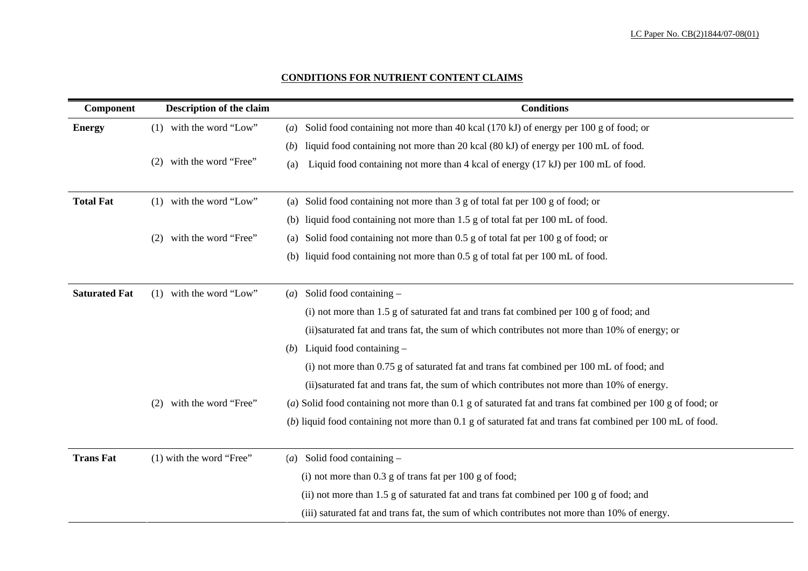## **CONDITIONS FOR NUTRIENT CONTENT CLAIMS**

| <b>Component</b>     | <b>Description of the claim</b> | <b>Conditions</b>                                                                                        |
|----------------------|---------------------------------|----------------------------------------------------------------------------------------------------------|
| <b>Energy</b>        | with the word "Low"<br>(1)      | Solid food containing not more than 40 kcal (170 kJ) of energy per 100 g of food; or<br>$\left(a\right)$ |
|                      |                                 | liquid food containing not more than 20 kcal (80 kJ) of energy per 100 mL of food.<br>(b)                |
|                      | with the word "Free"<br>(2)     | Liquid food containing not more than 4 kcal of energy (17 kJ) per 100 mL of food.<br>(a)                 |
| <b>Total Fat</b>     | with the word "Low"<br>(1)      | Solid food containing not more than 3 g of total fat per 100 g of food; or<br>(a)                        |
|                      |                                 | liquid food containing not more than 1.5 g of total fat per 100 mL of food.<br>(b)                       |
|                      | with the word "Free"<br>(2)     | Solid food containing not more than 0.5 g of total fat per 100 g of food; or<br>$\left( a\right)$        |
|                      |                                 | liquid food containing not more than 0.5 g of total fat per 100 mL of food.<br>(b)                       |
| <b>Saturated Fat</b> | with the word "Low"<br>(1)      | Solid food containing -<br>(a)                                                                           |
|                      |                                 | (i) not more than 1.5 g of saturated fat and trans fat combined per 100 g of food; and                   |
|                      |                                 | (ii) saturated fat and trans fat, the sum of which contributes not more than 10% of energy               |
|                      |                                 | Liquid food containing $-$<br>(b)                                                                        |
|                      |                                 | (i) not more than 0.75 g of saturated fat and trans fat combined per 100 mL of food; and                 |
|                      |                                 | (ii) saturated fat and trans fat, the sum of which contributes not more than 10% of energy               |
|                      | with the word "Free"<br>(2)     | (a) Solid food containing not more than $0.1$ g of saturated fat and trans fat combined per $100$        |
|                      |                                 | (b) liquid food containing not more than 0.1 g of saturated fat and trans fat combined per 100           |
| <b>Trans Fat</b>     | $(1)$ with the word "Free"      | Solid food containing $-$<br>(a)                                                                         |
|                      |                                 | (i) not more than $0.3$ g of trans fat per $100$ g of food;                                              |
|                      |                                 | (ii) not more than 1.5 g of saturated fat and trans fat combined per 100 g of food; and                  |
|                      |                                 | (iii) saturated fat and trans fat, the sum of which contributes not more than 10% of energy              |

food; and 0% of energy; or

0% of energy.

bined per 100 g of food; or

bined per 100 mL of food.

food; and 10% of energy.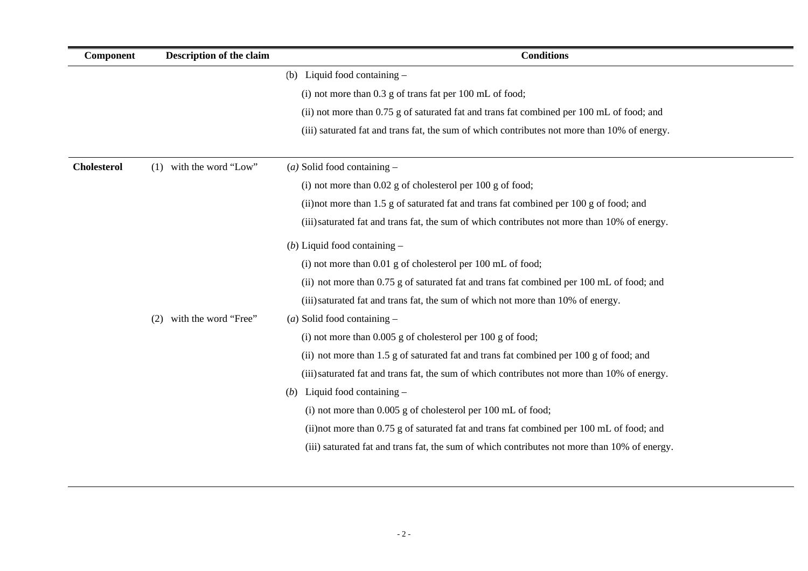of food; and  $10\%$  of energy.

 $0\%$  of energy.

 $0\%$  of energy.

 $10\%$  of energy.

| <b>Component</b>   | <b>Description of the claim</b> | <b>Conditions</b>                                                                           |
|--------------------|---------------------------------|---------------------------------------------------------------------------------------------|
|                    |                                 | Liquid food containing $-$<br>(b)                                                           |
|                    |                                 | (i) not more than $0.3$ g of trans fat per $100$ mL of food;                                |
|                    |                                 | (ii) not more than 0.75 g of saturated fat and trans fat combined per 100 mL of food; and   |
|                    |                                 | (iii) saturated fat and trans fat, the sum of which contributes not more than 10% of energy |
| <b>Cholesterol</b> | with the word "Low"<br>(1)      | $(a)$ Solid food containing –                                                               |
|                    |                                 | (i) not more than $0.02$ g of cholesterol per $100$ g of food;                              |
|                    |                                 | (ii) not more than 1.5 g of saturated fat and trans fat combined per 100 g of food; and     |
|                    |                                 | (iii) saturated fat and trans fat, the sum of which contributes not more than 10% of energy |
|                    |                                 | (b) Liquid food containing $-$                                                              |
|                    |                                 | (i) not more than 0.01 g of cholesterol per 100 mL of food;                                 |
|                    |                                 | (ii) not more than 0.75 g of saturated fat and trans fat combined per 100 mL of food; and   |
|                    |                                 | (iii) saturated fat and trans fat, the sum of which not more than 10% of energy.            |
|                    | with the word "Free"<br>(2)     | ( <i>a</i> ) Solid food containing $-$                                                      |
|                    |                                 | (i) not more than $0.005$ g of cholesterol per $100$ g of food;                             |
|                    |                                 | (ii) not more than 1.5 g of saturated fat and trans fat combined per 100 g of food; and     |
|                    |                                 | (iii) saturated fat and trans fat, the sum of which contributes not more than 10% of energy |
|                    |                                 | Liquid food containing $-$<br>(b)                                                           |
|                    |                                 | (i) not more than 0.005 g of cholesterol per 100 mL of food;                                |
|                    |                                 | (ii) not more than 0.75 g of saturated fat and trans fat combined per 100 mL of food; and   |
|                    |                                 | (iii) saturated fat and trans fat, the sum of which contributes not more than 10% of energ  |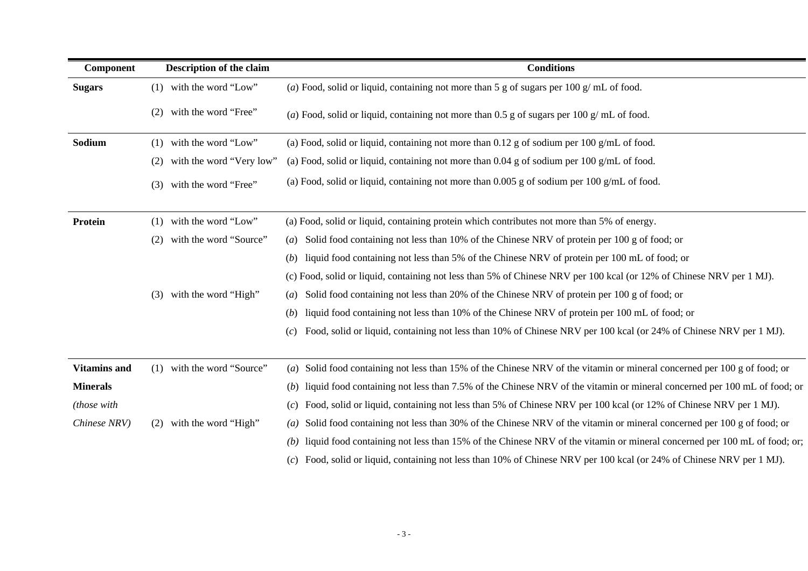th the word is of the word food; or

food; or less than 100 mL of food; or

kcal (or 12% of Chinese NRV per 1 MJ).

th the word is of the word food; or less than 200 g of food; or  $\frac{100}{2}$ 

er 100 mL of food; or

00 kcal (or 24% of Chinese NRV per 1 MJ).

in or mineral concerned per 100 g of food; or hin or mineral concerned per 100 mL of food; or kcal (or 12% of Chinese NRV per 1 MJ). *(a)* in or mineral concerned per 100 g of food; or in or mineral concerned per 100 mL of food; or; 00 kcal (or 24% of Chinese NRV per 1 MJ).

| <b>Component</b>    | <b>Description of the claim</b> | <b>Conditions</b>                                                                                            |
|---------------------|---------------------------------|--------------------------------------------------------------------------------------------------------------|
| <b>Sugars</b>       | with the word "Low"<br>(1)      | (a) Food, solid or liquid, containing not more than 5 g of sugars per 100 g/mL of food.                      |
|                     | with the word "Free"<br>(2)     | (a) Food, solid or liquid, containing not more than 0.5 g of sugars per 100 g/mL of food.                    |
| Sodium              | with the word "Low"<br>(1)      | (a) Food, solid or liquid, containing not more than $0.12$ g of sodium per $100$ g/mL of food.               |
|                     | with the word "Very low"<br>(2) | (a) Food, solid or liquid, containing not more than $0.04$ g of sodium per 100 g/mL of food.                 |
|                     | with the word "Free"<br>(3)     | (a) Food, solid or liquid, containing not more than $0.005$ g of sodium per 100 g/mL of food.                |
| <b>Protein</b>      | with the word "Low"<br>(1)      | (a) Food, solid or liquid, containing protein which contributes not more than 5% of energy.                  |
|                     | with the word "Source"<br>(2)   | Solid food containing not less than 10% of the Chinese NRV of protein per 100 g of foc<br>$\left( a\right)$  |
|                     |                                 | liquid food containing not less than 5% of the Chinese NRV of protein per 100 mL of for-<br>(b)              |
|                     |                                 | (c) Food, solid or liquid, containing not less than 5% of Chinese NRV per 100 kcal (or 12%                   |
|                     | with the word "High"<br>(3)     | Solid food containing not less than 20% of the Chinese NRV of protein per 100 g of foc<br>$\left(a\right)$   |
|                     |                                 | liquid food containing not less than 10% of the Chinese NRV of protein per 100 mL of<br>( <i>b</i> )         |
|                     |                                 | Food, solid or liquid, containing not less than 10% of Chinese NRV per 100 kcal (or 24<br>(c)                |
| <b>Vitamins and</b> | with the word "Source"<br>(1)   | Solid food containing not less than 15% of the Chinese NRV of the vitamin or mineral<br>$\left( a\right)$    |
| <b>Minerals</b>     |                                 | liquid food containing not less than 7.5% of the Chinese NRV of the vitamin or mineral<br>(b)                |
| <i>(those with)</i> |                                 | Food, solid or liquid, containing not less than 5% of Chinese NRV per 100 kcal (or 12%<br>(c)                |
| Chinese NRV)        | with the word "High"<br>(2)     | Solid food containing not less than 30% of the Chinese NRV of the vitamin or mineral or<br>$\left( a\right)$ |
|                     |                                 | liquid food containing not less than 15% of the Chinese NRV of the vitamin or mineral<br>(b)                 |
|                     |                                 | Food, solid or liquid, containing not less than 10% of Chinese NRV per 100 kcal (or 24<br>(c)                |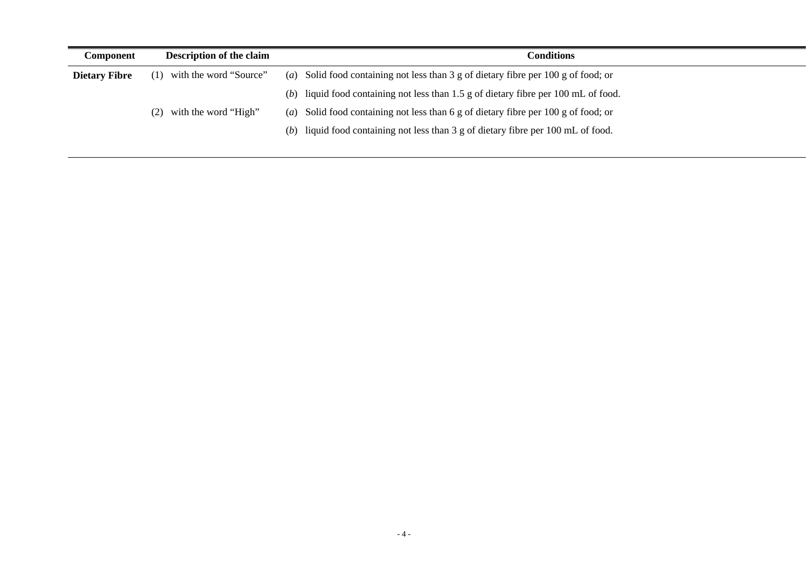| <b>Component</b>     | <b>Description of the claim</b> | <b>Conditions</b>                                                                           |
|----------------------|---------------------------------|---------------------------------------------------------------------------------------------|
| <b>Dietary Fibre</b> | with the word "Source"          | (a) Solid food containing not less than 3 g of dietary fibre per 100 g of food; or          |
|                      |                                 | (b) liquid food containing not less than $1.5$ g of dietary fibre per 100 mL of food.       |
|                      | with the word "High"<br>(2)     | (a) Solid food containing not less than 6 g of dietary fibre per 100 g of food; or          |
|                      |                                 | (b) liquid food containing not less than $3 \text{ g}$ of dietary fibre per 100 mL of food. |
|                      |                                 |                                                                                             |